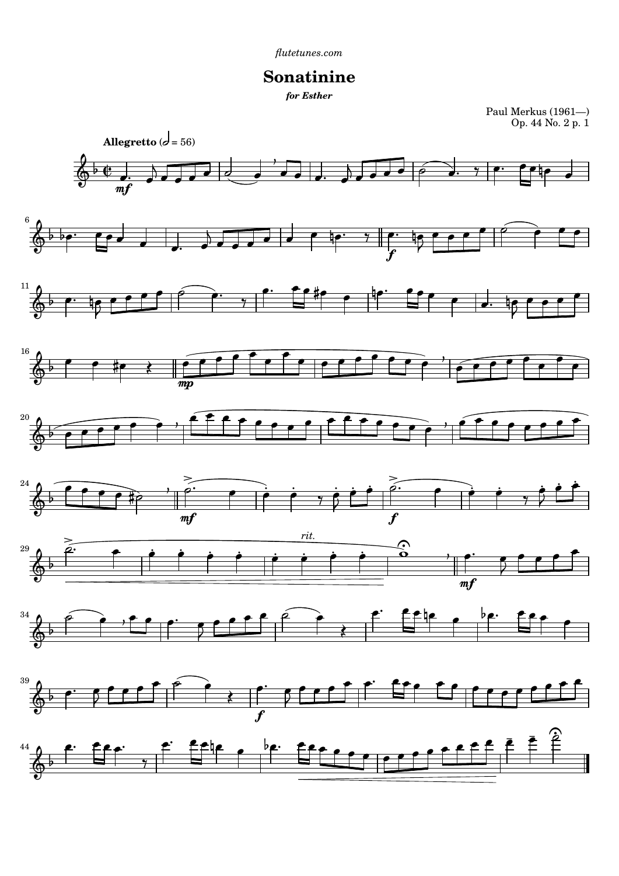## **Sonatinine**

Paul Merkus (1961—) Op. 44 No. 2 p. 1



*for Esther*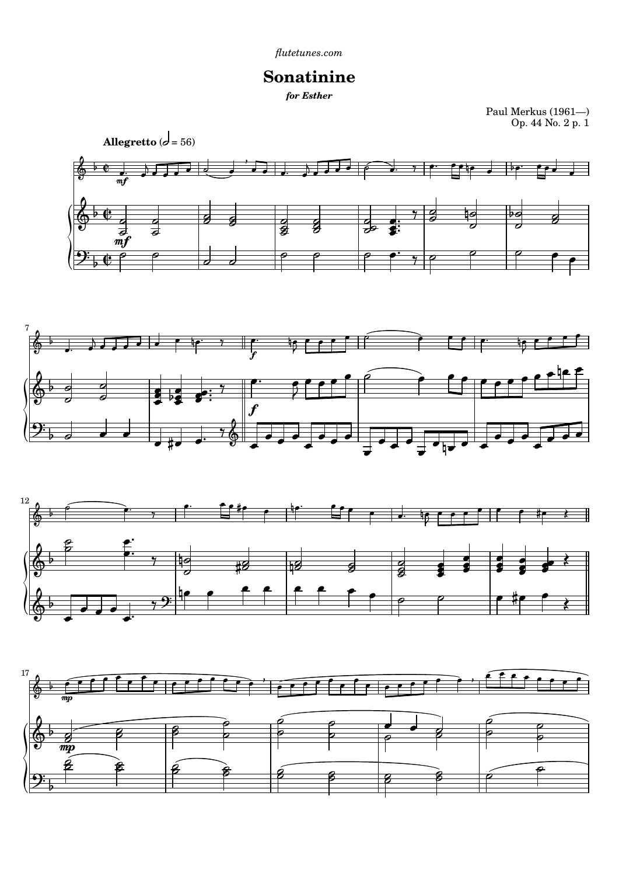## **Sonatinine**

Paul Merkus (1961—) Op. 44 No. 2 p. 1









*for Esther*